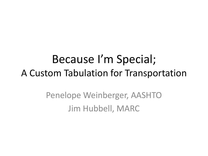#### Because I'm Special; A Custom Tabulation for Transportation

Penelope Weinberger, AASHTO Jim Hubbell, MARC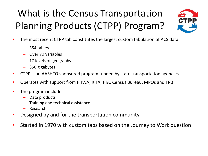#### What is the Census Transportation Planning Products (CTPP) Program?



- The most recent CTPP tab constitutes the largest custom tabulation of ACS data
	- 354 tables
	- Over 70 variables
	- 17 levels of geography
	- 350 gigabytes!
- CTPP is an AASHTO sponsored program funded by state transportation agencies
- Operates with support from FHWA, RITA, FTA, Census Bureau, MPOs and TRB
- The program includes:
	- Data products
	- Training and technical assistance
	- Research
- Designed by and for the transportation community
- Started in 1970 with custom tabs based on the Journey to Work question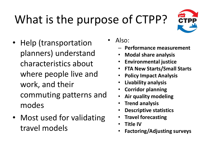# What is the purpose of CTPP?



• Help (transportation planners) understand characteristics about where people live and work, and their commuting patterns and modes

• Most used for validating travel models

• Also:

- **Performance measurement**
- **Modal share analysis**
- **Environmental justice**
- **FTA New Starts/Small Starts**
- **Policy Impact Analysis**
- **Livability analysis**
- **Corridor planning**
- **Air quality modeling**
- **Trend analysis**
- **Descriptive statistics**
- **Travel forecasting**
- **Title IV**
- **Factoring/Adjusting surveys**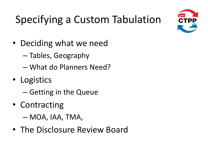

## Specifying a Custom Tabulation

- Deciding what we need
	- Tables, Geography
	- What do Planners Need?
- Logistics
	- Getting in the Queue
- Contracting
	- MOA, IAA, TMA,
- The Disclosure Review Board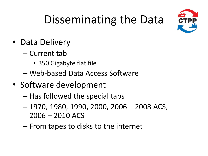

## Disseminating the Data

- Data Delivery
	- Current tab
		- 350 Gigabyte flat file
	- Web-based Data Access Software
- Software development
	- Has followed the special tabs
	- 1970, 1980, 1990, 2000, 2006 2008 ACS, 2006 – 2010 ACS
	- From tapes to disks to the internet